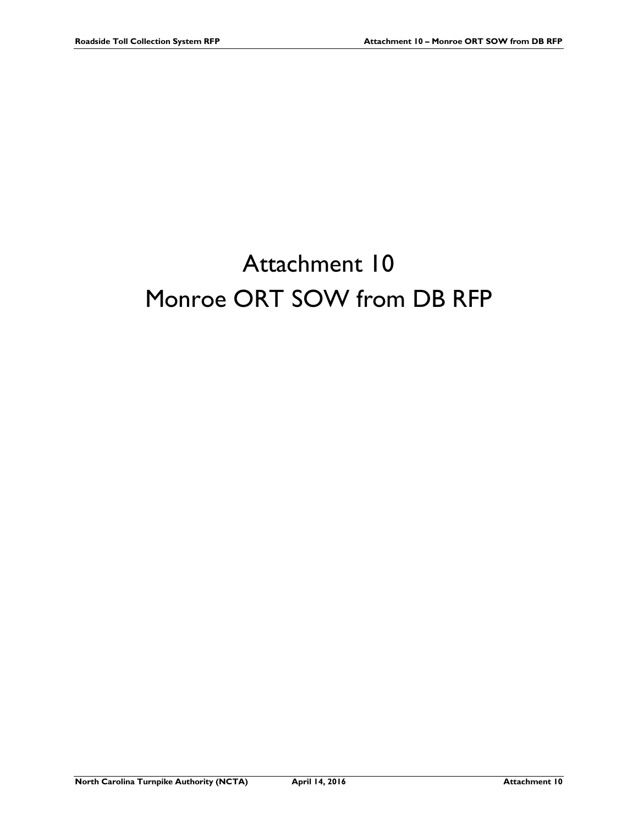# Attachment 10 Monroe ORT SOW from DB RFP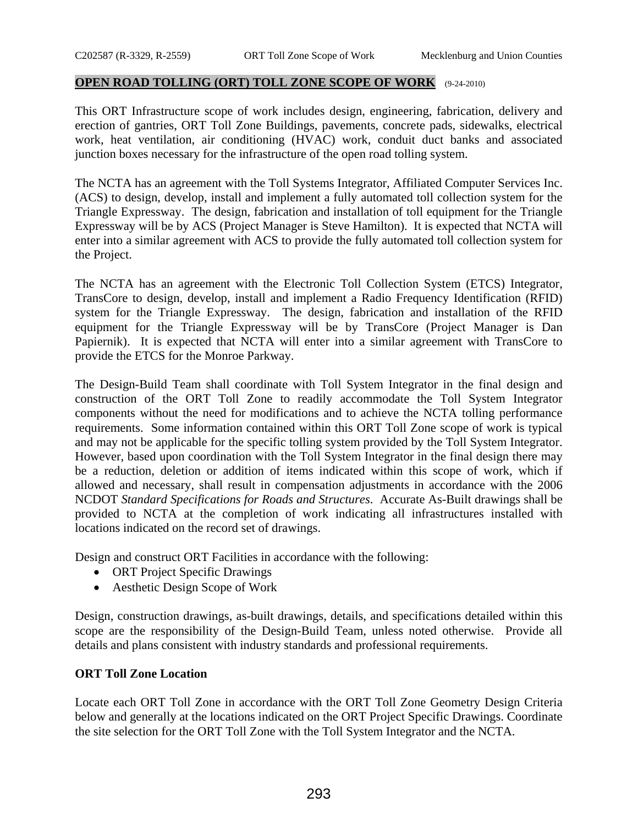#### **OPEN ROAD TOLLING (ORT) TOLL ZONE SCOPE OF WORK** (9-24-2010)

This ORT Infrastructure scope of work includes design, engineering, fabrication, delivery and erection of gantries, ORT Toll Zone Buildings, pavements, concrete pads, sidewalks, electrical work, heat ventilation, air conditioning (HVAC) work, conduit duct banks and associated junction boxes necessary for the infrastructure of the open road tolling system.

The NCTA has an agreement with the Toll Systems Integrator, Affiliated Computer Services Inc. (ACS) to design, develop, install and implement a fully automated toll collection system for the Triangle Expressway. The design, fabrication and installation of toll equipment for the Triangle Expressway will be by ACS (Project Manager is Steve Hamilton). It is expected that NCTA will enter into a similar agreement with ACS to provide the fully automated toll collection system for the Project.

The NCTA has an agreement with the Electronic Toll Collection System (ETCS) Integrator, TransCore to design, develop, install and implement a Radio Frequency Identification (RFID) system for the Triangle Expressway. The design, fabrication and installation of the RFID equipment for the Triangle Expressway will be by TransCore (Project Manager is Dan Papiernik). It is expected that NCTA will enter into a similar agreement with TransCore to provide the ETCS for the Monroe Parkway.

The Design-Build Team shall coordinate with Toll System Integrator in the final design and construction of the ORT Toll Zone to readily accommodate the Toll System Integrator components without the need for modifications and to achieve the NCTA tolling performance requirements. Some information contained within this ORT Toll Zone scope of work is typical and may not be applicable for the specific tolling system provided by the Toll System Integrator. However, based upon coordination with the Toll System Integrator in the final design there may be a reduction, deletion or addition of items indicated within this scope of work, which if allowed and necessary, shall result in compensation adjustments in accordance with the 2006 NCDOT *Standard Specifications for Roads and Structures*. Accurate As-Built drawings shall be provided to NCTA at the completion of work indicating all infrastructures installed with locations indicated on the record set of drawings.

Design and construct ORT Facilities in accordance with the following:

- ORT Project Specific Drawings
- Aesthetic Design Scope of Work

Design, construction drawings, as-built drawings, details, and specifications detailed within this scope are the responsibility of the Design-Build Team, unless noted otherwise. Provide all details and plans consistent with industry standards and professional requirements.

## **ORT Toll Zone Location**

Locate each ORT Toll Zone in accordance with the ORT Toll Zone Geometry Design Criteria below and generally at the locations indicated on the ORT Project Specific Drawings. Coordinate the site selection for the ORT Toll Zone with the Toll System Integrator and the NCTA.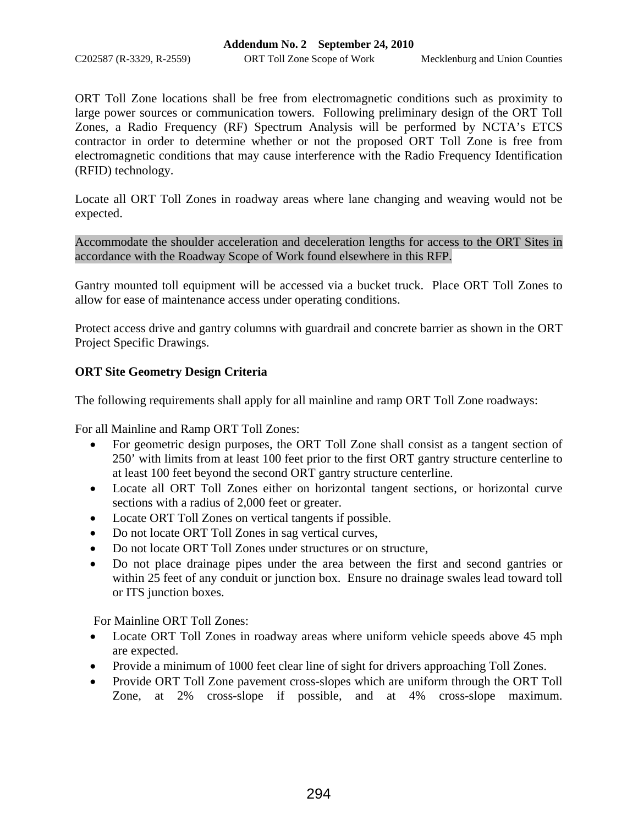C202587 (R-3329, R-2559) ORT Toll Zone Scope of Work Mecklenburg and Union Counties

ORT Toll Zone locations shall be free from electromagnetic conditions such as proximity to large power sources or communication towers. Following preliminary design of the ORT Toll Zones, a Radio Frequency (RF) Spectrum Analysis will be performed by NCTA's ETCS contractor in order to determine whether or not the proposed ORT Toll Zone is free from electromagnetic conditions that may cause interference with the Radio Frequency Identification (RFID) technology.

Locate all ORT Toll Zones in roadway areas where lane changing and weaving would not be expected.

Accommodate the shoulder acceleration and deceleration lengths for access to the ORT Sites in accordance with the Roadway Scope of Work found elsewhere in this RFP.

Gantry mounted toll equipment will be accessed via a bucket truck. Place ORT Toll Zones to allow for ease of maintenance access under operating conditions.

Protect access drive and gantry columns with guardrail and concrete barrier as shown in the ORT Project Specific Drawings.

# **ORT Site Geometry Design Criteria**

The following requirements shall apply for all mainline and ramp ORT Toll Zone roadways:

For all Mainline and Ramp ORT Toll Zones:

- For geometric design purposes, the ORT Toll Zone shall consist as a tangent section of 250' with limits from at least 100 feet prior to the first ORT gantry structure centerline to at least 100 feet beyond the second ORT gantry structure centerline.
- Locate all ORT Toll Zones either on horizontal tangent sections, or horizontal curve sections with a radius of 2,000 feet or greater.
- Locate ORT Toll Zones on vertical tangents if possible.
- Do not locate ORT Toll Zones in sag vertical curves,
- Do not locate ORT Toll Zones under structures or on structure,
- Do not place drainage pipes under the area between the first and second gantries or within 25 feet of any conduit or junction box. Ensure no drainage swales lead toward toll or ITS junction boxes.

For Mainline ORT Toll Zones:

- Locate ORT Toll Zones in roadway areas where uniform vehicle speeds above 45 mph are expected.
- Provide a minimum of 1000 feet clear line of sight for drivers approaching Toll Zones.
- Provide ORT Toll Zone pavement cross-slopes which are uniform through the ORT Toll Zone, at 2% cross-slope if possible, and at 4% cross-slope maximum.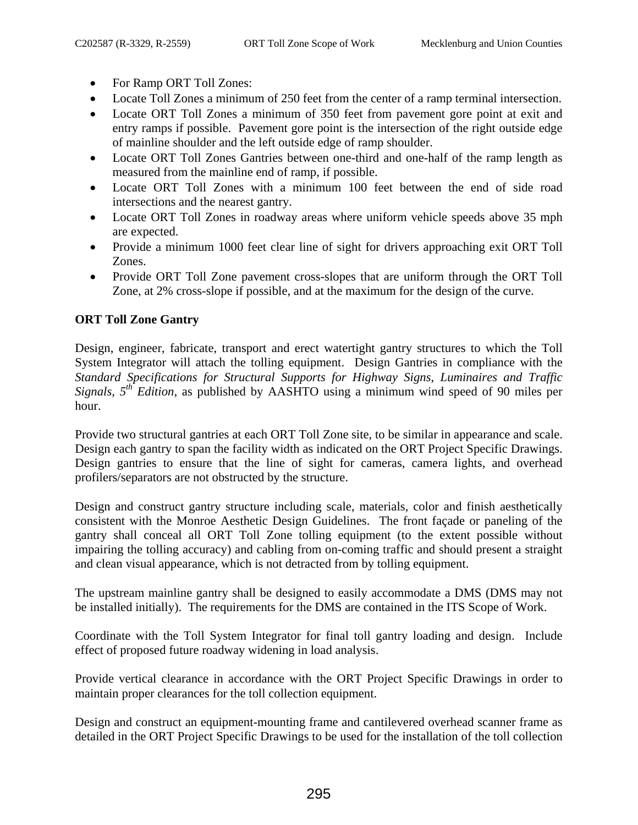- For Ramp ORT Toll Zones:
- Locate Toll Zones a minimum of 250 feet from the center of a ramp terminal intersection.
- Locate ORT Toll Zones a minimum of 350 feet from pavement gore point at exit and entry ramps if possible. Pavement gore point is the intersection of the right outside edge of mainline shoulder and the left outside edge of ramp shoulder.
- Locate ORT Toll Zones Gantries between one-third and one-half of the ramp length as measured from the mainline end of ramp, if possible.
- Locate ORT Toll Zones with a minimum 100 feet between the end of side road intersections and the nearest gantry.
- Locate ORT Toll Zones in roadway areas where uniform vehicle speeds above 35 mph are expected.
- Provide a minimum 1000 feet clear line of sight for drivers approaching exit ORT Toll Zones.
- Provide ORT Toll Zone pavement cross-slopes that are uniform through the ORT Toll Zone, at 2% cross-slope if possible, and at the maximum for the design of the curve.

# **ORT Toll Zone Gantry**

Design, engineer, fabricate, transport and erect watertight gantry structures to which the Toll System Integrator will attach the tolling equipment. Design Gantries in compliance with the *Standard Specifications for Structural Supports for Highway Signs, Luminaires and Traffic Signals*, *5th Edition,* as published by AASHTO using a minimum wind speed of 90 miles per hour.

Provide two structural gantries at each ORT Toll Zone site, to be similar in appearance and scale. Design each gantry to span the facility width as indicated on the ORT Project Specific Drawings. Design gantries to ensure that the line of sight for cameras, camera lights, and overhead profilers/separators are not obstructed by the structure.

Design and construct gantry structure including scale, materials, color and finish aesthetically consistent with the Monroe Aesthetic Design Guidelines. The front façade or paneling of the gantry shall conceal all ORT Toll Zone tolling equipment (to the extent possible without impairing the tolling accuracy) and cabling from on-coming traffic and should present a straight and clean visual appearance, which is not detracted from by tolling equipment.

The upstream mainline gantry shall be designed to easily accommodate a DMS (DMS may not be installed initially). The requirements for the DMS are contained in the ITS Scope of Work.

Coordinate with the Toll System Integrator for final toll gantry loading and design. Include effect of proposed future roadway widening in load analysis.

Provide vertical clearance in accordance with the ORT Project Specific Drawings in order to maintain proper clearances for the toll collection equipment.

Design and construct an equipment-mounting frame and cantilevered overhead scanner frame as detailed in the ORT Project Specific Drawings to be used for the installation of the toll collection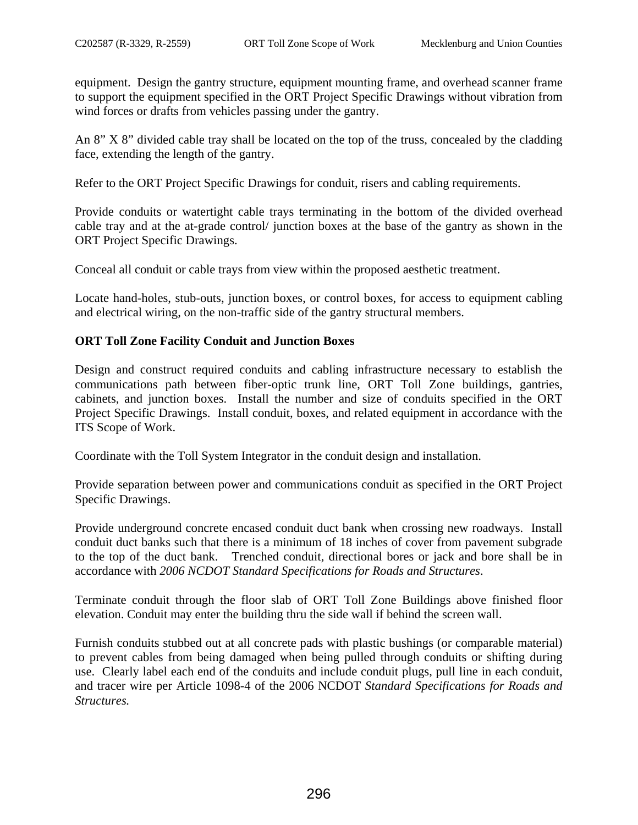equipment. Design the gantry structure, equipment mounting frame, and overhead scanner frame to support the equipment specified in the ORT Project Specific Drawings without vibration from wind forces or drafts from vehicles passing under the gantry.

An 8" X 8" divided cable tray shall be located on the top of the truss, concealed by the cladding face, extending the length of the gantry.

Refer to the ORT Project Specific Drawings for conduit, risers and cabling requirements.

Provide conduits or watertight cable trays terminating in the bottom of the divided overhead cable tray and at the at-grade control/ junction boxes at the base of the gantry as shown in the ORT Project Specific Drawings.

Conceal all conduit or cable trays from view within the proposed aesthetic treatment.

Locate hand-holes, stub-outs, junction boxes, or control boxes, for access to equipment cabling and electrical wiring, on the non-traffic side of the gantry structural members.

## **ORT Toll Zone Facility Conduit and Junction Boxes**

Design and construct required conduits and cabling infrastructure necessary to establish the communications path between fiber-optic trunk line, ORT Toll Zone buildings, gantries, cabinets, and junction boxes. Install the number and size of conduits specified in the ORT Project Specific Drawings. Install conduit, boxes, and related equipment in accordance with the ITS Scope of Work.

Coordinate with the Toll System Integrator in the conduit design and installation.

Provide separation between power and communications conduit as specified in the ORT Project Specific Drawings.

Provide underground concrete encased conduit duct bank when crossing new roadways. Install conduit duct banks such that there is a minimum of 18 inches of cover from pavement subgrade to the top of the duct bank. Trenched conduit, directional bores or jack and bore shall be in accordance with *2006 NCDOT Standard Specifications for Roads and Structures*.

Terminate conduit through the floor slab of ORT Toll Zone Buildings above finished floor elevation. Conduit may enter the building thru the side wall if behind the screen wall.

Furnish conduits stubbed out at all concrete pads with plastic bushings (or comparable material) to prevent cables from being damaged when being pulled through conduits or shifting during use. Clearly label each end of the conduits and include conduit plugs, pull line in each conduit, and tracer wire per Article 1098-4 of the 2006 NCDOT *Standard Specifications for Roads and Structures.*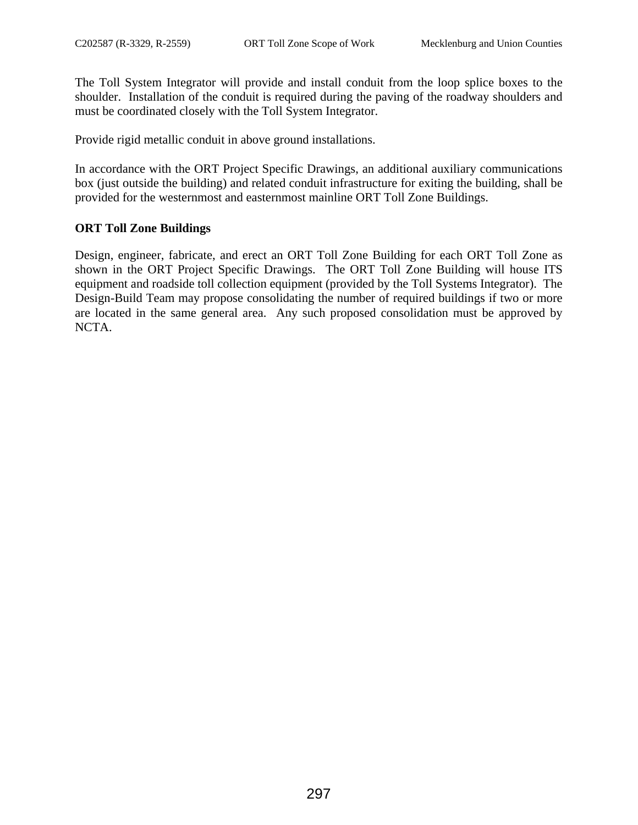The Toll System Integrator will provide and install conduit from the loop splice boxes to the shoulder. Installation of the conduit is required during the paving of the roadway shoulders and must be coordinated closely with the Toll System Integrator.

Provide rigid metallic conduit in above ground installations.

In accordance with the ORT Project Specific Drawings, an additional auxiliary communications box (just outside the building) and related conduit infrastructure for exiting the building, shall be provided for the westernmost and easternmost mainline ORT Toll Zone Buildings.

# **ORT Toll Zone Buildings**

Design, engineer, fabricate, and erect an ORT Toll Zone Building for each ORT Toll Zone as shown in the ORT Project Specific Drawings. The ORT Toll Zone Building will house ITS equipment and roadside toll collection equipment (provided by the Toll Systems Integrator). The Design-Build Team may propose consolidating the number of required buildings if two or more are located in the same general area. Any such proposed consolidation must be approved by NCTA.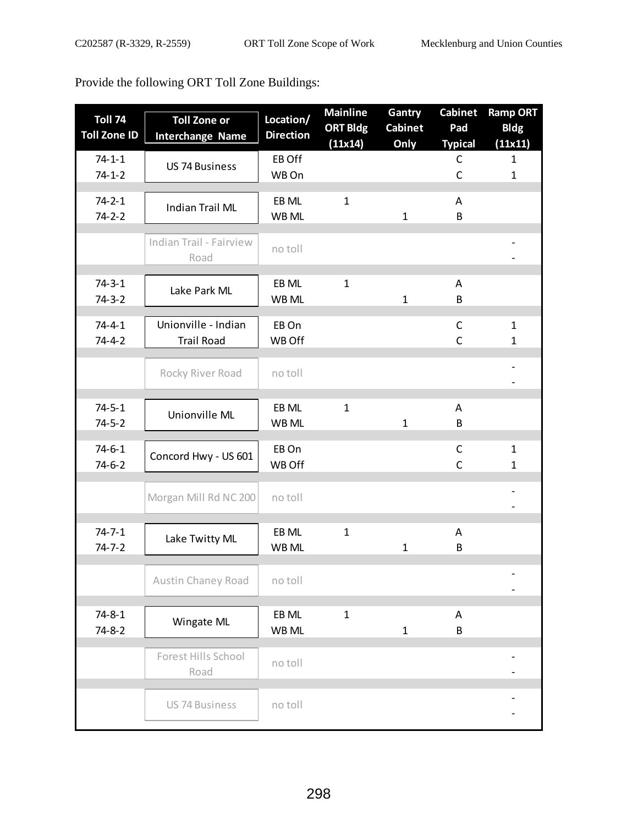Provide the following ORT Toll Zone Buildings:

| <b>Toll 74</b><br><b>Toll Zone ID</b> | <b>Toll Zone or</b><br><b>Interchange Name</b> | Location/<br><b>Direction</b> | <b>Mainline</b><br><b>ORT Bldg</b><br>(11x14) | Gantry<br><b>Cabinet</b><br>Only | <b>Cabinet</b><br>Pad<br><b>Typical</b> | <b>Ramp ORT</b><br><b>Bldg</b><br>(11x11) |
|---------------------------------------|------------------------------------------------|-------------------------------|-----------------------------------------------|----------------------------------|-----------------------------------------|-------------------------------------------|
| $74 - 1 - 1$<br>$74 - 1 - 2$          | <b>US 74 Business</b>                          | EB Off<br>WB On               |                                               |                                  | $\mathsf{C}$<br>$\mathsf C$             | 1<br>$\mathbf{1}$                         |
| $74 - 2 - 1$<br>$74 - 2 - 2$          | <b>Indian Trail ML</b>                         | EB ML<br>WB ML                | $\mathbf{1}$                                  | $\mathbf{1}$                     | A<br>B                                  |                                           |
|                                       | Indian Trail - Fairview<br>Road                | no toll                       |                                               |                                  |                                         |                                           |
| $74-3-1$<br>$74-3-2$                  | Lake Park ML                                   | EB ML<br>WB ML                | $\mathbf{1}$                                  | $\mathbf{1}$                     | A<br>B                                  |                                           |
| $74 - 4 - 1$<br>$74 - 4 - 2$          | Unionville - Indian<br><b>Trail Road</b>       | EB On<br>WB Off               |                                               |                                  | $\mathsf C$<br>$\mathsf C$              | 1<br>$\mathbf 1$                          |
|                                       | Rocky River Road                               | no toll                       |                                               |                                  |                                         |                                           |
| $74 - 5 - 1$<br>$74 - 5 - 2$          | Unionville ML                                  | EB ML<br>WB ML                | $\mathbf{1}$                                  | $\mathbf{1}$                     | A<br>B                                  |                                           |
| $74 - 6 - 1$<br>$74-6-2$              | Concord Hwy - US 601                           | EB On<br>WB Off               |                                               |                                  | $\mathsf C$<br>$\mathsf{C}$             | 1<br>$\mathbf 1$                          |
|                                       | Morgan Mill Rd NC 200                          | no toll                       |                                               |                                  |                                         |                                           |
| $74 - 7 - 1$<br>$74 - 7 - 2$          | Lake Twitty ML                                 | EB ML<br>WB ML                | $\mathbf{1}$                                  | $\mathbf{1}$                     | A<br>B                                  |                                           |
|                                       | Austin Chaney Road                             | no toll                       |                                               |                                  |                                         |                                           |
| $74 - 8 - 1$<br>$74 - 8 - 2$          | Wingate ML                                     | EB ML<br>WB ML                | $\mathbf{1}$                                  | $\mathbf{1}$                     | A<br>B                                  |                                           |
|                                       | Forest Hills School<br>Road                    | no toll                       |                                               |                                  |                                         |                                           |
|                                       | <b>US 74 Business</b>                          | no toll                       |                                               |                                  |                                         |                                           |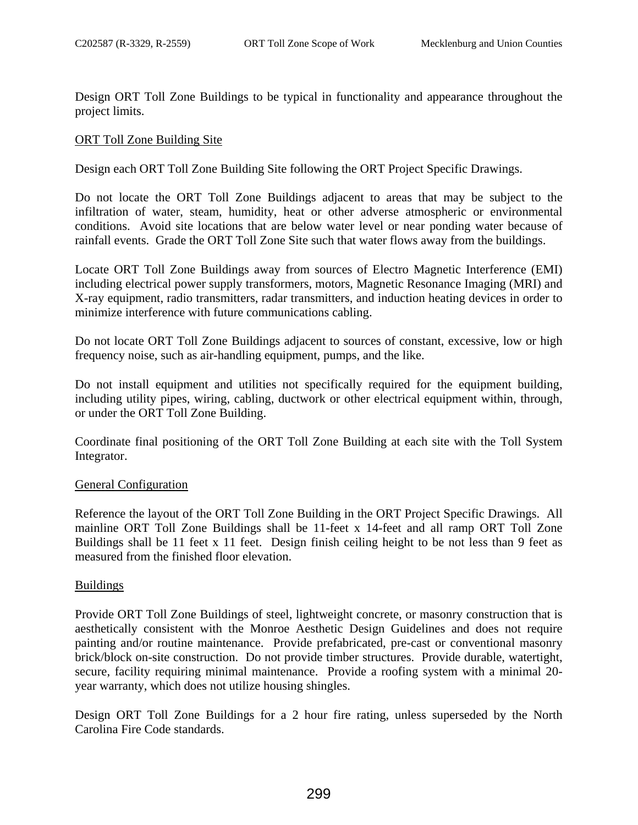Design ORT Toll Zone Buildings to be typical in functionality and appearance throughout the project limits.

## ORT Toll Zone Building Site

Design each ORT Toll Zone Building Site following the ORT Project Specific Drawings.

Do not locate the ORT Toll Zone Buildings adjacent to areas that may be subject to the infiltration of water, steam, humidity, heat or other adverse atmospheric or environmental conditions. Avoid site locations that are below water level or near ponding water because of rainfall events. Grade the ORT Toll Zone Site such that water flows away from the buildings.

Locate ORT Toll Zone Buildings away from sources of Electro Magnetic Interference (EMI) including electrical power supply transformers, motors, Magnetic Resonance Imaging (MRI) and X-ray equipment, radio transmitters, radar transmitters, and induction heating devices in order to minimize interference with future communications cabling.

Do not locate ORT Toll Zone Buildings adjacent to sources of constant, excessive, low or high frequency noise, such as air-handling equipment, pumps, and the like.

Do not install equipment and utilities not specifically required for the equipment building, including utility pipes, wiring, cabling, ductwork or other electrical equipment within, through, or under the ORT Toll Zone Building.

Coordinate final positioning of the ORT Toll Zone Building at each site with the Toll System Integrator.

## General Configuration

Reference the layout of the ORT Toll Zone Building in the ORT Project Specific Drawings. All mainline ORT Toll Zone Buildings shall be 11-feet x 14-feet and all ramp ORT Toll Zone Buildings shall be 11 feet x 11 feet. Design finish ceiling height to be not less than 9 feet as measured from the finished floor elevation.

## Buildings

Provide ORT Toll Zone Buildings of steel, lightweight concrete, or masonry construction that is aesthetically consistent with the Monroe Aesthetic Design Guidelines and does not require painting and/or routine maintenance. Provide prefabricated, pre-cast or conventional masonry brick/block on-site construction. Do not provide timber structures. Provide durable, watertight, secure, facility requiring minimal maintenance. Provide a roofing system with a minimal 20 year warranty, which does not utilize housing shingles.

Design ORT Toll Zone Buildings for a 2 hour fire rating, unless superseded by the North Carolina Fire Code standards.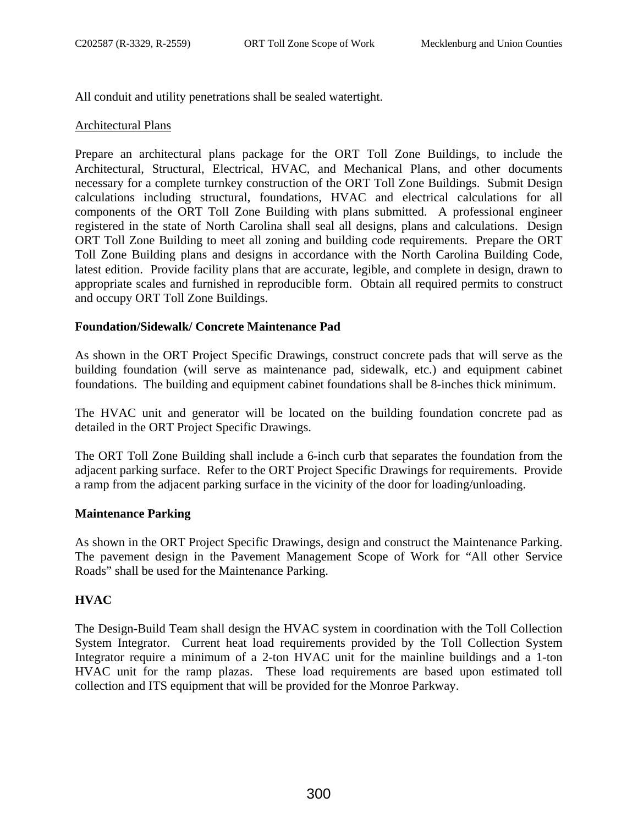All conduit and utility penetrations shall be sealed watertight.

# Architectural Plans

Prepare an architectural plans package for the ORT Toll Zone Buildings, to include the Architectural, Structural, Electrical, HVAC, and Mechanical Plans, and other documents necessary for a complete turnkey construction of the ORT Toll Zone Buildings. Submit Design calculations including structural, foundations, HVAC and electrical calculations for all components of the ORT Toll Zone Building with plans submitted. A professional engineer registered in the state of North Carolina shall seal all designs, plans and calculations. Design ORT Toll Zone Building to meet all zoning and building code requirements. Prepare the ORT Toll Zone Building plans and designs in accordance with the North Carolina Building Code, latest edition. Provide facility plans that are accurate, legible, and complete in design, drawn to appropriate scales and furnished in reproducible form. Obtain all required permits to construct and occupy ORT Toll Zone Buildings.

# **Foundation/Sidewalk/ Concrete Maintenance Pad**

As shown in the ORT Project Specific Drawings, construct concrete pads that will serve as the building foundation (will serve as maintenance pad, sidewalk, etc.) and equipment cabinet foundations. The building and equipment cabinet foundations shall be 8-inches thick minimum.

The HVAC unit and generator will be located on the building foundation concrete pad as detailed in the ORT Project Specific Drawings.

The ORT Toll Zone Building shall include a 6-inch curb that separates the foundation from the adjacent parking surface. Refer to the ORT Project Specific Drawings for requirements. Provide a ramp from the adjacent parking surface in the vicinity of the door for loading/unloading.

# **Maintenance Parking**

As shown in the ORT Project Specific Drawings, design and construct the Maintenance Parking. The pavement design in the Pavement Management Scope of Work for "All other Service Roads" shall be used for the Maintenance Parking.

# **HVAC**

The Design-Build Team shall design the HVAC system in coordination with the Toll Collection System Integrator. Current heat load requirements provided by the Toll Collection System Integrator require a minimum of a 2-ton HVAC unit for the mainline buildings and a 1-ton HVAC unit for the ramp plazas. These load requirements are based upon estimated toll collection and ITS equipment that will be provided for the Monroe Parkway.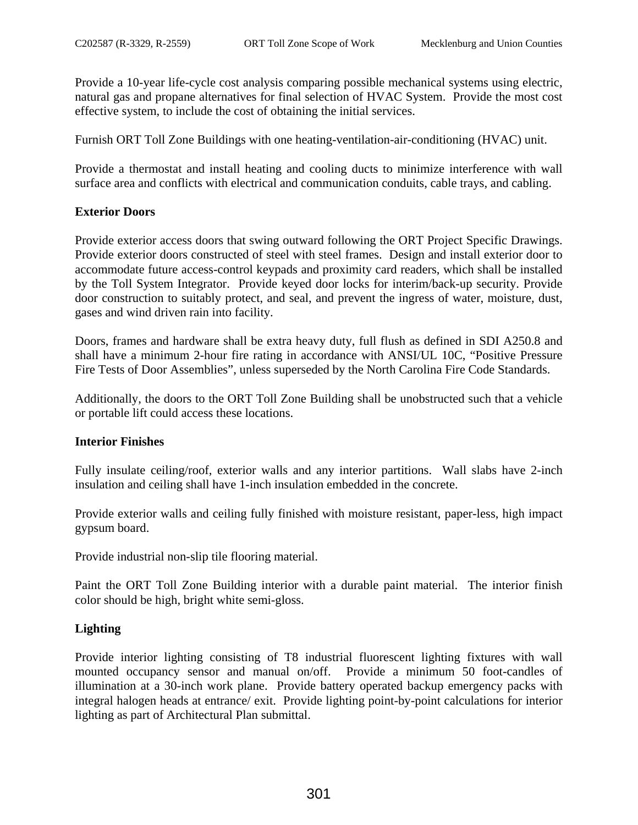Provide a 10-year life-cycle cost analysis comparing possible mechanical systems using electric, natural gas and propane alternatives for final selection of HVAC System. Provide the most cost effective system, to include the cost of obtaining the initial services.

Furnish ORT Toll Zone Buildings with one heating-ventilation-air-conditioning (HVAC) unit.

Provide a thermostat and install heating and cooling ducts to minimize interference with wall surface area and conflicts with electrical and communication conduits, cable trays, and cabling.

# **Exterior Doors**

Provide exterior access doors that swing outward following the ORT Project Specific Drawings. Provide exterior doors constructed of steel with steel frames. Design and install exterior door to accommodate future access-control keypads and proximity card readers, which shall be installed by the Toll System Integrator. Provide keyed door locks for interim/back-up security. Provide door construction to suitably protect, and seal, and prevent the ingress of water, moisture, dust, gases and wind driven rain into facility.

Doors, frames and hardware shall be extra heavy duty, full flush as defined in SDI A250.8 and shall have a minimum 2-hour fire rating in accordance with ANSI/UL 10C, "Positive Pressure Fire Tests of Door Assemblies", unless superseded by the North Carolina Fire Code Standards.

Additionally, the doors to the ORT Toll Zone Building shall be unobstructed such that a vehicle or portable lift could access these locations.

# **Interior Finishes**

Fully insulate ceiling/roof, exterior walls and any interior partitions. Wall slabs have 2-inch insulation and ceiling shall have 1-inch insulation embedded in the concrete.

Provide exterior walls and ceiling fully finished with moisture resistant, paper-less, high impact gypsum board.

Provide industrial non-slip tile flooring material.

Paint the ORT Toll Zone Building interior with a durable paint material. The interior finish color should be high, bright white semi-gloss.

# **Lighting**

Provide interior lighting consisting of T8 industrial fluorescent lighting fixtures with wall mounted occupancy sensor and manual on/off. Provide a minimum 50 foot-candles of illumination at a 30-inch work plane. Provide battery operated backup emergency packs with integral halogen heads at entrance/ exit. Provide lighting point-by-point calculations for interior lighting as part of Architectural Plan submittal.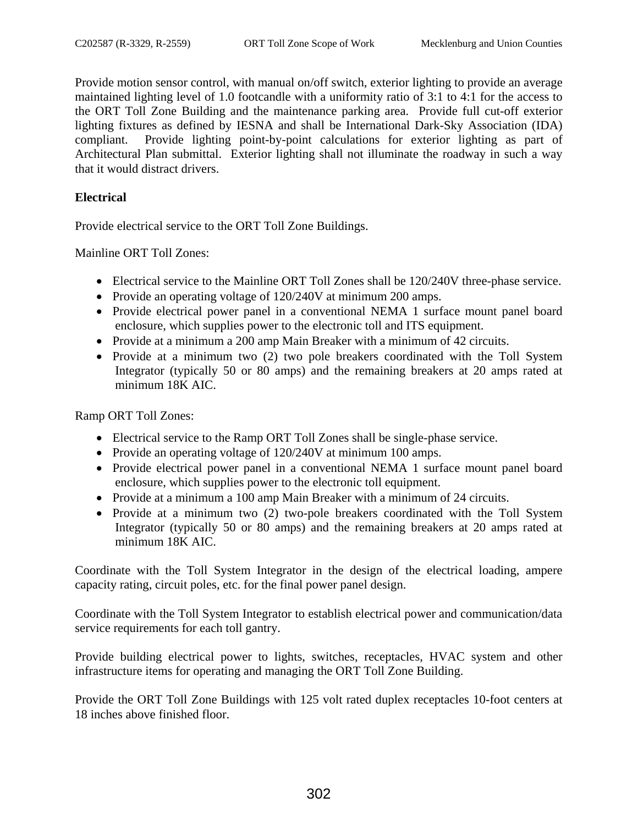Provide motion sensor control, with manual on/off switch, exterior lighting to provide an average maintained lighting level of 1.0 footcandle with a uniformity ratio of 3:1 to 4:1 for the access to the ORT Toll Zone Building and the maintenance parking area. Provide full cut-off exterior lighting fixtures as defined by IESNA and shall be International Dark-Sky Association (IDA) compliant. Provide lighting point-by-point calculations for exterior lighting as part of Architectural Plan submittal. Exterior lighting shall not illuminate the roadway in such a way that it would distract drivers.

# **Electrical**

Provide electrical service to the ORT Toll Zone Buildings.

Mainline ORT Toll Zones:

- Electrical service to the Mainline ORT Toll Zones shall be 120/240V three-phase service.
- Provide an operating voltage of 120/240V at minimum 200 amps.
- Provide electrical power panel in a conventional NEMA 1 surface mount panel board enclosure, which supplies power to the electronic toll and ITS equipment.
- Provide at a minimum a 200 amp Main Breaker with a minimum of 42 circuits.
- Provide at a minimum two (2) two pole breakers coordinated with the Toll System Integrator (typically 50 or 80 amps) and the remaining breakers at 20 amps rated at minimum 18K AIC.

Ramp ORT Toll Zones:

- Electrical service to the Ramp ORT Toll Zones shall be single-phase service.
- Provide an operating voltage of 120/240V at minimum 100 amps.
- Provide electrical power panel in a conventional NEMA 1 surface mount panel board enclosure, which supplies power to the electronic toll equipment.
- Provide at a minimum a 100 amp Main Breaker with a minimum of 24 circuits.
- Provide at a minimum two (2) two-pole breakers coordinated with the Toll System Integrator (typically 50 or 80 amps) and the remaining breakers at 20 amps rated at minimum 18K AIC.

Coordinate with the Toll System Integrator in the design of the electrical loading, ampere capacity rating, circuit poles, etc. for the final power panel design.

Coordinate with the Toll System Integrator to establish electrical power and communication/data service requirements for each toll gantry.

Provide building electrical power to lights, switches, receptacles, HVAC system and other infrastructure items for operating and managing the ORT Toll Zone Building.

Provide the ORT Toll Zone Buildings with 125 volt rated duplex receptacles 10-foot centers at 18 inches above finished floor.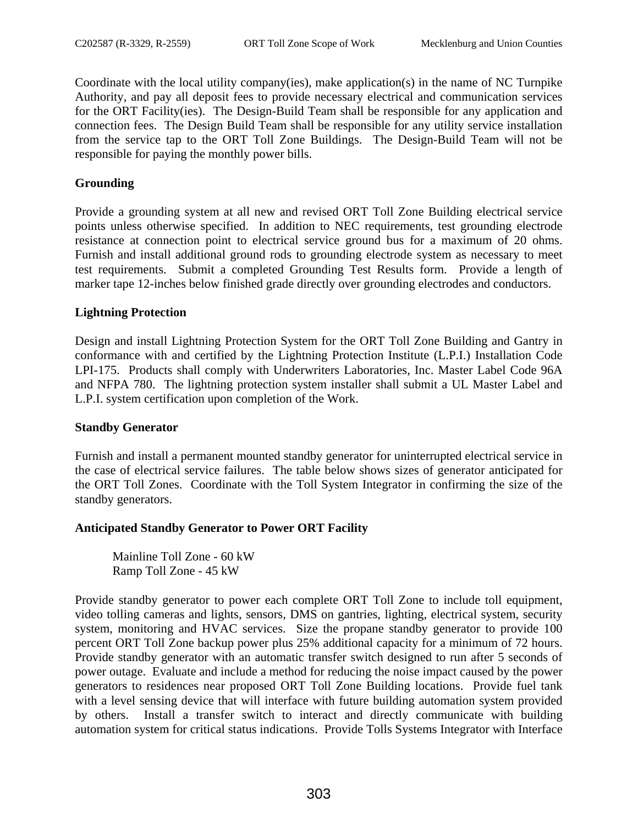Coordinate with the local utility company(ies), make application(s) in the name of NC Turnpike Authority, and pay all deposit fees to provide necessary electrical and communication services for the ORT Facility(ies). The Design-Build Team shall be responsible for any application and connection fees. The Design Build Team shall be responsible for any utility service installation from the service tap to the ORT Toll Zone Buildings. The Design-Build Team will not be responsible for paying the monthly power bills.

# **Grounding**

Provide a grounding system at all new and revised ORT Toll Zone Building electrical service points unless otherwise specified. In addition to NEC requirements, test grounding electrode resistance at connection point to electrical service ground bus for a maximum of 20 ohms. Furnish and install additional ground rods to grounding electrode system as necessary to meet test requirements. Submit a completed Grounding Test Results form. Provide a length of marker tape 12-inches below finished grade directly over grounding electrodes and conductors.

# **Lightning Protection**

Design and install Lightning Protection System for the ORT Toll Zone Building and Gantry in conformance with and certified by the Lightning Protection Institute (L.P.I.) Installation Code LPI-175. Products shall comply with Underwriters Laboratories, Inc. Master Label Code 96A and NFPA 780. The lightning protection system installer shall submit a UL Master Label and L.P.I. system certification upon completion of the Work.

# **Standby Generator**

Furnish and install a permanent mounted standby generator for uninterrupted electrical service in the case of electrical service failures. The table below shows sizes of generator anticipated for the ORT Toll Zones. Coordinate with the Toll System Integrator in confirming the size of the standby generators.

# **Anticipated Standby Generator to Power ORT Facility**

Mainline Toll Zone - 60 kW Ramp Toll Zone - 45 kW

Provide standby generator to power each complete ORT Toll Zone to include toll equipment, video tolling cameras and lights, sensors, DMS on gantries, lighting, electrical system, security system, monitoring and HVAC services. Size the propane standby generator to provide 100 percent ORT Toll Zone backup power plus 25% additional capacity for a minimum of 72 hours. Provide standby generator with an automatic transfer switch designed to run after 5 seconds of power outage. Evaluate and include a method for reducing the noise impact caused by the power generators to residences near proposed ORT Toll Zone Building locations. Provide fuel tank with a level sensing device that will interface with future building automation system provided by others. Install a transfer switch to interact and directly communicate with building automation system for critical status indications. Provide Tolls Systems Integrator with Interface